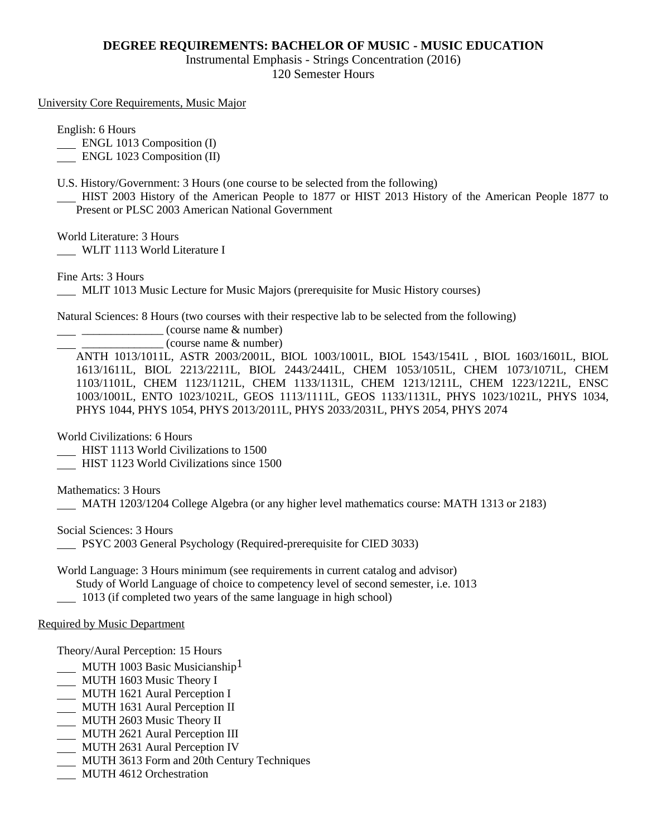## **DEGREE REQUIREMENTS: BACHELOR OF MUSIC - MUSIC EDUCATION**

Instrumental Emphasis - Strings Concentration (2016)

120 Semester Hours

University Core Requirements, Music Major

English: 6 Hours

**ENGL 1013 Composition (I)** 

ENGL 1023 Composition (II)

U.S. History/Government: 3 Hours (one course to be selected from the following)

 HIST 2003 History of the American People to 1877 or HIST 2013 History of the American People 1877 to Present or PLSC 2003 American National Government

World Literature: 3 Hours

WLIT 1113 World Literature I

Fine Arts: 3 Hours

MLIT 1013 Music Lecture for Music Majors (prerequisite for Music History courses)

Natural Sciences: 8 Hours (two courses with their respective lab to be selected from the following)

 $\frac{1}{2}$   $\frac{1}{2}$   $\frac{1}{2}$   $\frac{1}{2}$   $\frac{1}{2}$   $\frac{1}{2}$   $\frac{1}{2}$   $\frac{1}{2}$   $\frac{1}{2}$   $\frac{1}{2}$   $\frac{1}{2}$   $\frac{1}{2}$   $\frac{1}{2}$   $\frac{1}{2}$   $\frac{1}{2}$   $\frac{1}{2}$   $\frac{1}{2}$   $\frac{1}{2}$   $\frac{1}{2}$   $\frac{1}{2}$   $\frac{1}{2}$   $\frac{1}{2}$ 

\_\_\_\_\_\_\_\_\_\_\_\_\_\_ (course name & number)

ANTH 1013/1011L, ASTR 2003/2001L, BIOL 1003/1001L, BIOL 1543/1541L , BIOL 1603/1601L, BIOL 1613/1611L, BIOL 2213/2211L, BIOL 2443/2441L, CHEM 1053/1051L, CHEM 1073/1071L, CHEM 1103/1101L, CHEM 1123/1121L, CHEM 1133/1131L, CHEM 1213/1211L, CHEM 1223/1221L, ENSC 1003/1001L, ENTO 1023/1021L, GEOS 1113/1111L, GEOS 1133/1131L, PHYS 1023/1021L, PHYS 1034, PHYS 1044, PHYS 1054, PHYS 2013/2011L, PHYS 2033/2031L, PHYS 2054, PHYS 2074

World Civilizations: 6 Hours

HIST 1113 World Civilizations to 1500

HIST 1123 World Civilizations since 1500

Mathematics: 3 Hours

MATH 1203/1204 College Algebra (or any higher level mathematics course: MATH 1313 or 2183)

Social Sciences: 3 Hours

PSYC 2003 General Psychology (Required-prerequisite for CIED 3033)

World Language: 3 Hours minimum (see requirements in current catalog and advisor)

Study of World Language of choice to competency level of second semester, i.e. 1013

1013 (if completed two years of the same language in high school)

## Required by Music Department

Theory/Aural Perception: 15 Hours

- MUTH 1003 Basic Musicianship<sup>1</sup>
- MUTH 1603 Music Theory I
- MUTH 1621 Aural Perception I
- MUTH 1631 Aural Perception II
- MUTH 2603 Music Theory II
- MUTH 2621 Aural Perception III
- **MUTH 2631 Aural Perception IV**
- MUTH 3613 Form and 20th Century Techniques
- MUTH 4612 Orchestration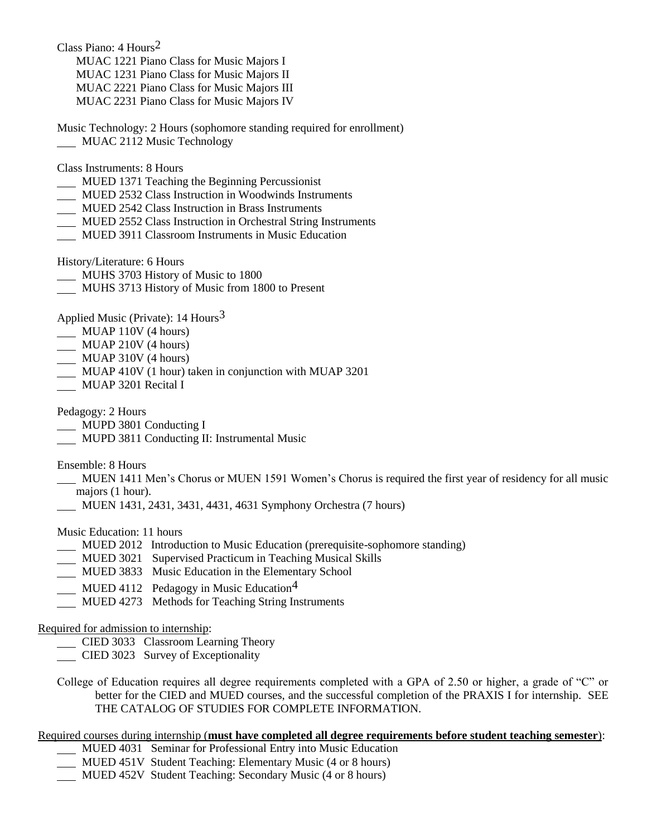Class Piano: 4 Hours2 MUAC 1221 Piano Class for Music Majors I MUAC 1231 Piano Class for Music Majors II MUAC 2221 Piano Class for Music Majors III MUAC 2231 Piano Class for Music Majors IV

Music Technology: 2 Hours (sophomore standing required for enrollment) MUAC 2112 Music Technology

Class Instruments: 8 Hours

- MUED 1371 Teaching the Beginning Percussionist
- MUED 2532 Class Instruction in Woodwinds Instruments
- MUED 2542 Class Instruction in Brass Instruments
- MUED 2552 Class Instruction in Orchestral String Instruments
- MUED 3911 Classroom Instruments in Music Education

History/Literature: 6 Hours

- MUHS 3703 History of Music to 1800
- MUHS 3713 History of Music from 1800 to Present

Applied Music (Private):  $14$  Hours<sup>3</sup>

- MUAP 110V (4 hours)
- MUAP 210V (4 hours)
- MUAP 310V (4 hours)
- MUAP 410V (1 hour) taken in conjunction with MUAP 3201
- MUAP 3201 Recital I

Pedagogy: 2 Hours

MUPD 3801 Conducting I

MUPD 3811 Conducting II: Instrumental Music

Ensemble: 8 Hours

- MUEN 1411 Men's Chorus or MUEN 1591 Women's Chorus is required the first year of residency for all music majors (1 hour).
- MUEN 1431, 2431, 3431, 4431, 4631 Symphony Orchestra (7 hours)

Music Education: 11 hours

- MUED 2012 Introduction to Music Education (prerequisite-sophomore standing)
- MUED 3021 Supervised Practicum in Teaching Musical Skills
- MUED 3833 Music Education in the Elementary School
- MUED 4112 Pedagogy in Music Education<sup>4</sup>
- MUED 4273 Methods for Teaching String Instruments

#### Required for admission to internship:

- CIED 3033 Classroom Learning Theory
- CIED 3023 Survey of Exceptionality
- College of Education requires all degree requirements completed with a GPA of 2.50 or higher, a grade of "C" or better for the CIED and MUED courses, and the successful completion of the PRAXIS I for internship. SEE THE CATALOG OF STUDIES FOR COMPLETE INFORMATION.

# Required courses during internship (**must have completed all degree requirements before student teaching semester**):

- MUED 4031 Seminar for Professional Entry into Music Education
- MUED 451V Student Teaching: Elementary Music (4 or 8 hours)
- MUED 452V Student Teaching: Secondary Music (4 or 8 hours)